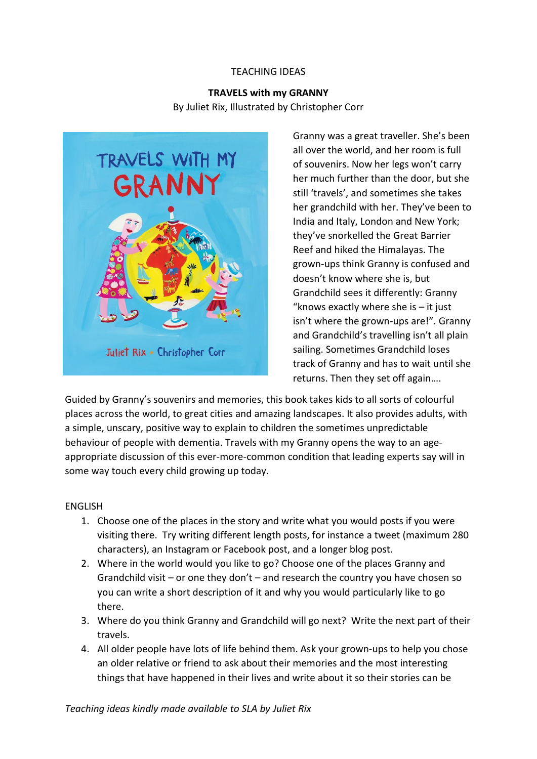#### TEACHING IDEAS

# **TRAVELS with my GRANNY** By Juliet Rix, Illustrated by Christopher Corr



Granny was a great traveller. She's been all over the world, and her room is full of souvenirs. Now her legs won't carry her much further than the door, but she still 'travels', and sometimes she takes her grandchild with her. They've been to India and Italy, London and New York; they've snorkelled the Great Barrier Reef and hiked the Himalayas. The grown-ups think Granny is confused and doesn't know where she is, but Grandchild sees it differently: Granny "knows exactly where she is  $-$  it just isn't where the grown-ups are!". Granny and Grandchild's travelling isn't all plain sailing. Sometimes Grandchild loses track of Granny and has to wait until she returns. Then they set off again….

Guided by Granny's souvenirs and memories, this book takes kids to all sorts of colourful places across the world, to great cities and amazing landscapes. It also provides adults, with a simple, unscary, positive way to explain to children the sometimes unpredictable behaviour of people with dementia. Travels with my Granny opens the way to an ageappropriate discussion of this ever-more-common condition that leading experts say will in some way touch every child growing up today.

#### ENGLISH

- 1. Choose one of the places in the story and write what you would posts if you were visiting there. Try writing different length posts, for instance a tweet (maximum 280 characters), an Instagram or Facebook post, and a longer blog post.
- 2. Where in the world would you like to go? Choose one of the places Granny and Grandchild visit – or one they don't – and research the country you have chosen so you can write a short description of it and why you would particularly like to go there.
- 3. Where do you think Granny and Grandchild will go next? Write the next part of their travels.
- 4. All older people have lots of life behind them. Ask your grown-ups to help you chose an older relative or friend to ask about their memories and the most interesting things that have happened in their lives and write about it so their stories can be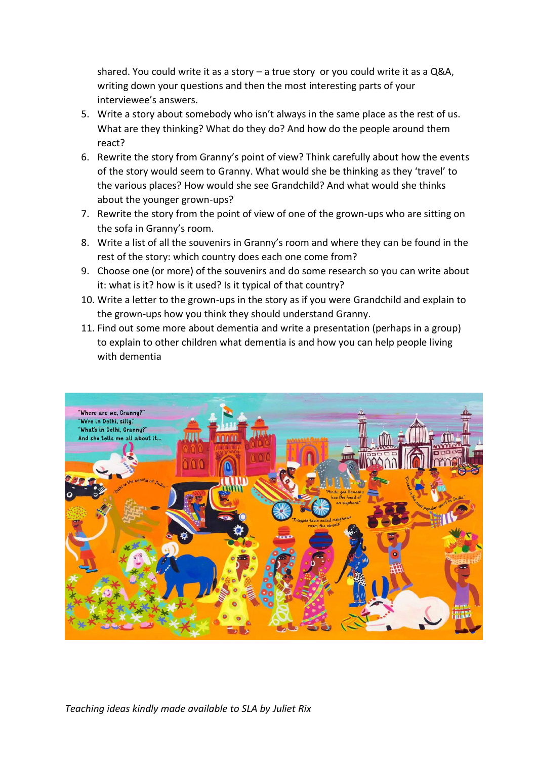shared. You could write it as a story – a true story or you could write it as a Q&A, writing down your questions and then the most interesting parts of your interviewee's answers.

- 5. Write a story about somebody who isn't always in the same place as the rest of us. What are they thinking? What do they do? And how do the people around them react?
- 6. Rewrite the story from Granny's point of view? Think carefully about how the events of the story would seem to Granny. What would she be thinking as they 'travel' to the various places? How would she see Grandchild? And what would she thinks about the younger grown-ups?
- 7. Rewrite the story from the point of view of one of the grown-ups who are sitting on the sofa in Granny's room.
- 8. Write a list of all the souvenirs in Granny's room and where they can be found in the rest of the story: which country does each one come from?
- 9. Choose one (or more) of the souvenirs and do some research so you can write about it: what is it? how is it used? Is it typical of that country?
- 10. Write a letter to the grown-ups in the story as if you were Grandchild and explain to the grown-ups how you think they should understand Granny.
- 11. Find out some more about dementia and write a presentation (perhaps in a group) to explain to other children what dementia is and how you can help people living with dementia

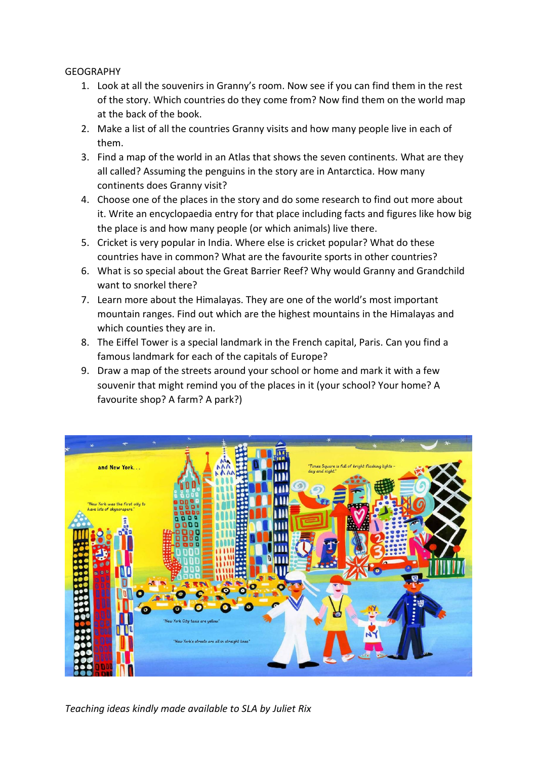### **GEOGRAPHY**

- 1. Look at all the souvenirs in Granny's room. Now see if you can find them in the rest of the story. Which countries do they come from? Now find them on the world map at the back of the book.
- 2. Make a list of all the countries Granny visits and how many people live in each of them.
- 3. Find a map of the world in an Atlas that shows the seven continents. What are they all called? Assuming the penguins in the story are in Antarctica. How many continents does Granny visit?
- 4. Choose one of the places in the story and do some research to find out more about it. Write an encyclopaedia entry for that place including facts and figures like how big the place is and how many people (or which animals) live there.
- 5. Cricket is very popular in India. Where else is cricket popular? What do these countries have in common? What are the favourite sports in other countries?
- 6. What is so special about the Great Barrier Reef? Why would Granny and Grandchild want to snorkel there?
- 7. Learn more about the Himalayas. They are one of the world's most important mountain ranges. Find out which are the highest mountains in the Himalayas and which counties they are in.
- 8. The Eiffel Tower is a special landmark in the French capital, Paris. Can you find a famous landmark for each of the capitals of Europe?
- 9. Draw a map of the streets around your school or home and mark it with a few souvenir that might remind you of the places in it (your school? Your home? A favourite shop? A farm? A park?)



*Teaching ideas kindly made available to SLA by Juliet Rix*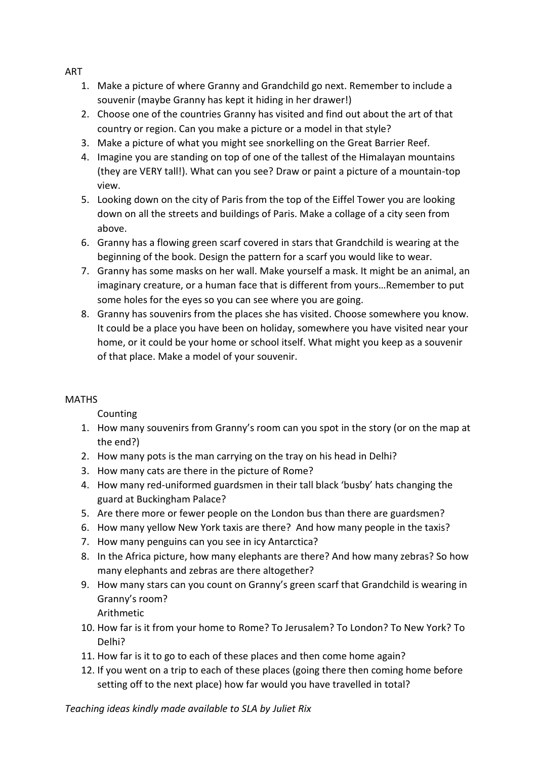ART

- 1. Make a picture of where Granny and Grandchild go next. Remember to include a souvenir (maybe Granny has kept it hiding in her drawer!)
- 2. Choose one of the countries Granny has visited and find out about the art of that country or region. Can you make a picture or a model in that style?
- 3. Make a picture of what you might see snorkelling on the Great Barrier Reef.
- 4. Imagine you are standing on top of one of the tallest of the Himalayan mountains (they are VERY tall!). What can you see? Draw or paint a picture of a mountain-top view.
- 5. Looking down on the city of Paris from the top of the Eiffel Tower you are looking down on all the streets and buildings of Paris. Make a collage of a city seen from above.
- 6. Granny has a flowing green scarf covered in stars that Grandchild is wearing at the beginning of the book. Design the pattern for a scarf you would like to wear.
- 7. Granny has some masks on her wall. Make yourself a mask. It might be an animal, an imaginary creature, or a human face that is different from yours…Remember to put some holes for the eyes so you can see where you are going.
- 8. Granny has souvenirs from the places she has visited. Choose somewhere you know. It could be a place you have been on holiday, somewhere you have visited near your home, or it could be your home or school itself. What might you keep as a souvenir of that place. Make a model of your souvenir.

# **MATHS**

Counting

- 1. How many souvenirs from Granny's room can you spot in the story (or on the map at the end?)
- 2. How many pots is the man carrying on the tray on his head in Delhi?
- 3. How many cats are there in the picture of Rome?
- 4. How many red-uniformed guardsmen in their tall black 'busby' hats changing the guard at Buckingham Palace?
- 5. Are there more or fewer people on the London bus than there are guardsmen?
- 6. How many yellow New York taxis are there? And how many people in the taxis?
- 7. How many penguins can you see in icy Antarctica?
- 8. In the Africa picture, how many elephants are there? And how many zebras? So how many elephants and zebras are there altogether?
- 9. How many stars can you count on Granny's green scarf that Grandchild is wearing in Granny's room? Arithmetic
- 10. How far is it from your home to Rome? To Jerusalem? To London? To New York? To Delhi?
- 11. How far is it to go to each of these places and then come home again?
- 12. If you went on a trip to each of these places (going there then coming home before setting off to the next place) how far would you have travelled in total?

*Teaching ideas kindly made available to SLA by Juliet Rix*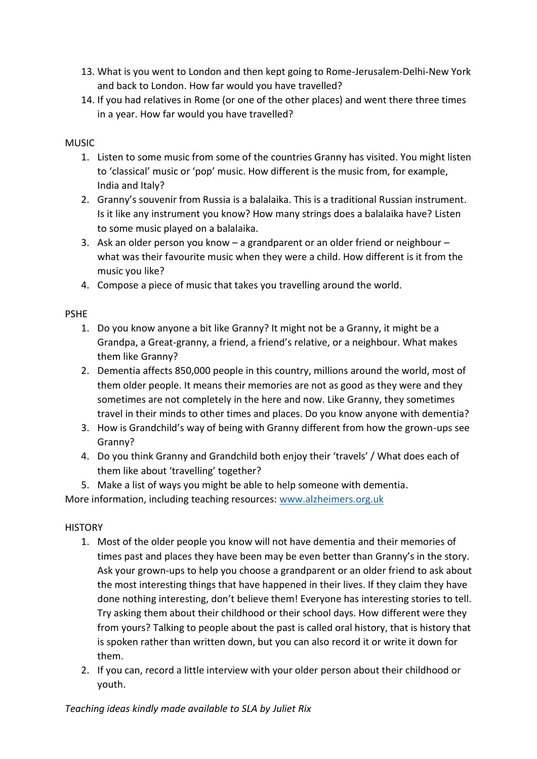- 13. What is you went to London and then kept going to Rome-Jerusalem-Delhi-New York and back to London. How far would you have travelled?
- 14. If you had relatives in Rome (or one of the other places) and went there three times in a year. How far would you have travelled?

# MUSIC

- 1. Listen to some music from some of the countries Granny has visited. You might listen to 'classical' music or 'pop' music. How different is the music from, for example, India and Italy?
- 2. Granny's souvenir from Russia is a balalaika. This is a traditional Russian instrument. Is it like any instrument you know? How many strings does a balalaika have? Listen to some music played on a balalaika.
- 3. Ask an older person you know a grandparent or an older friend or neighbour what was their favourite music when they were a child. How different is it from the music you like?
- 4. Compose a piece of music that takes you travelling around the world.

## PSHE

- 1. Do you know anyone a bit like Granny? It might not be a Granny, it might be a Grandpa, a Great-granny, a friend, a friend's relative, or a neighbour. What makes them like Granny?
- 2. Dementia affects 850,000 people in this country, millions around the world, most of them older people. It means their memories are not as good as they were and they sometimes are not completely in the here and now. Like Granny, they sometimes travel in their minds to other times and places. Do you know anyone with dementia?
- 3. How is Grandchild's way of being with Granny different from how the grown-ups see Granny?
- 4. Do you think Granny and Grandchild both enjoy their 'travels' / What does each of them like about 'travelling' together?
- 5. Make a list of ways you might be able to help someone with dementia.

More information, including teaching resources: [www.alzheimers.org.uk](http://www.alzheimers.org.uk/)

## **HISTORY**

- 1. Most of the older people you know will not have dementia and their memories of times past and places they have been may be even better than Granny's in the story. Ask your grown-ups to help you choose a grandparent or an older friend to ask about the most interesting things that have happened in their lives. If they claim they have done nothing interesting, don't believe them! Everyone has interesting stories to tell. Try asking them about their childhood or their school days. How different were they from yours? Talking to people about the past is called oral history, that is history that is spoken rather than written down, but you can also record it or write it down for them.
- 2. If you can, record a little interview with your older person about their childhood or youth.